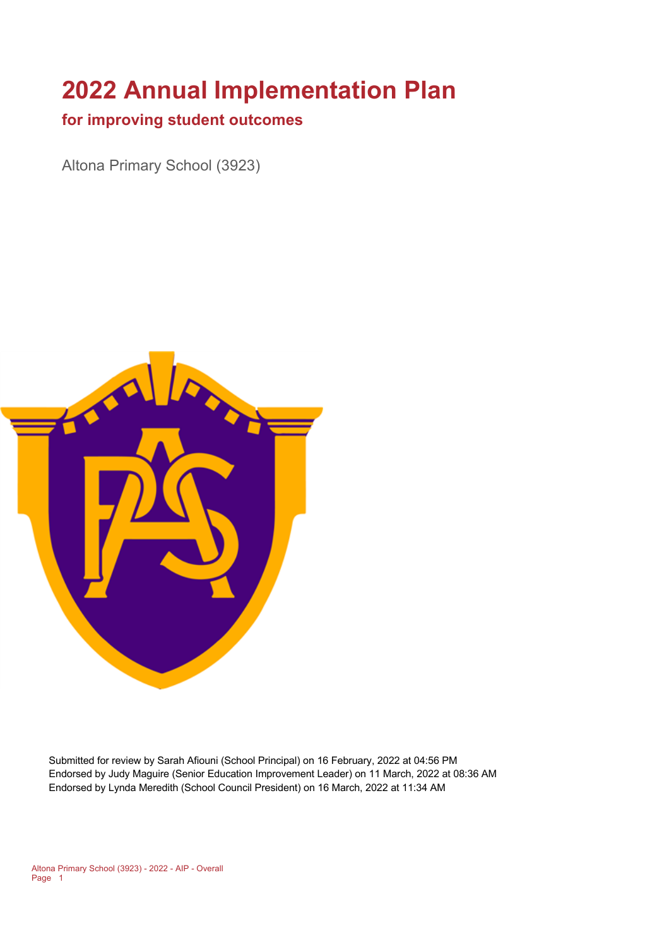# **2022 Annual Implementation Plan**

### **for improving student outcomes**

Altona Primary School (3923)



Submitted for review by Sarah Afiouni (School Principal) on 16 February, 2022 at 04:56 PM Endorsed by Judy Maguire (Senior Education Improvement Leader) on 11 March, 2022 at 08:36 AM Endorsed by Lynda Meredith (School Council President) on 16 March, 2022 at 11:34 AM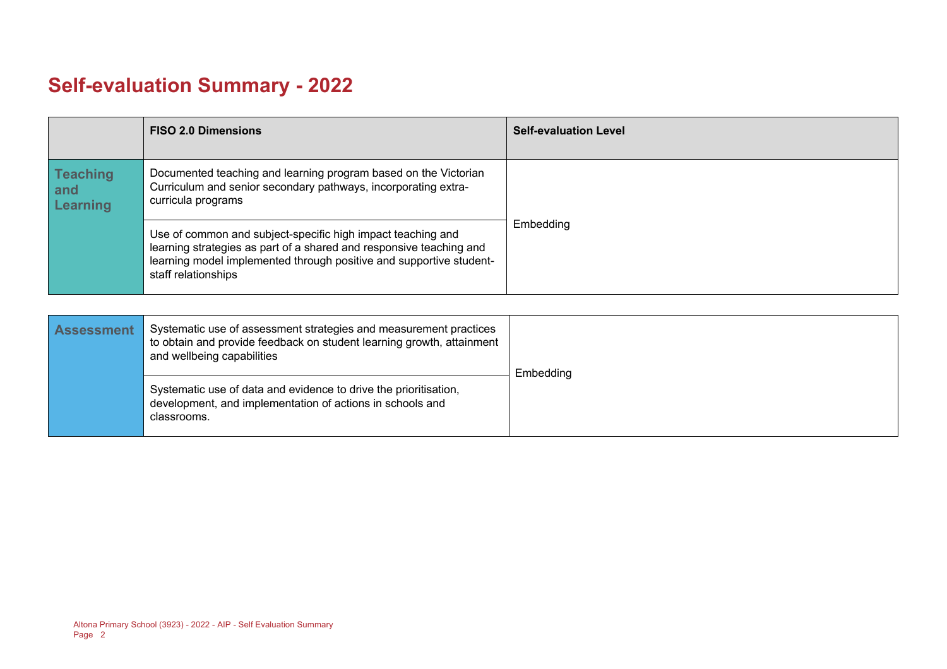# **Self-evaluation Summary - 2022**

|                                           | <b>FISO 2.0 Dimensions</b>                                                                                                                                                                                                       | <b>Self-evaluation Level</b> |
|-------------------------------------------|----------------------------------------------------------------------------------------------------------------------------------------------------------------------------------------------------------------------------------|------------------------------|
| <b>Teaching</b><br>and<br><b>Learning</b> | Documented teaching and learning program based on the Victorian<br>Curriculum and senior secondary pathways, incorporating extra-<br>curricula programs                                                                          |                              |
|                                           | Use of common and subject-specific high impact teaching and<br>learning strategies as part of a shared and responsive teaching and<br>learning model implemented through positive and supportive student-<br>staff relationships | Embedding                    |

| <b>Assessment</b> | Systematic use of assessment strategies and measurement practices<br>to obtain and provide feedback on student learning growth, attainment<br>and wellbeing capabilities | Embedding |  |
|-------------------|--------------------------------------------------------------------------------------------------------------------------------------------------------------------------|-----------|--|
|                   | Systematic use of data and evidence to drive the prioritisation,<br>development, and implementation of actions in schools and<br>classrooms.                             |           |  |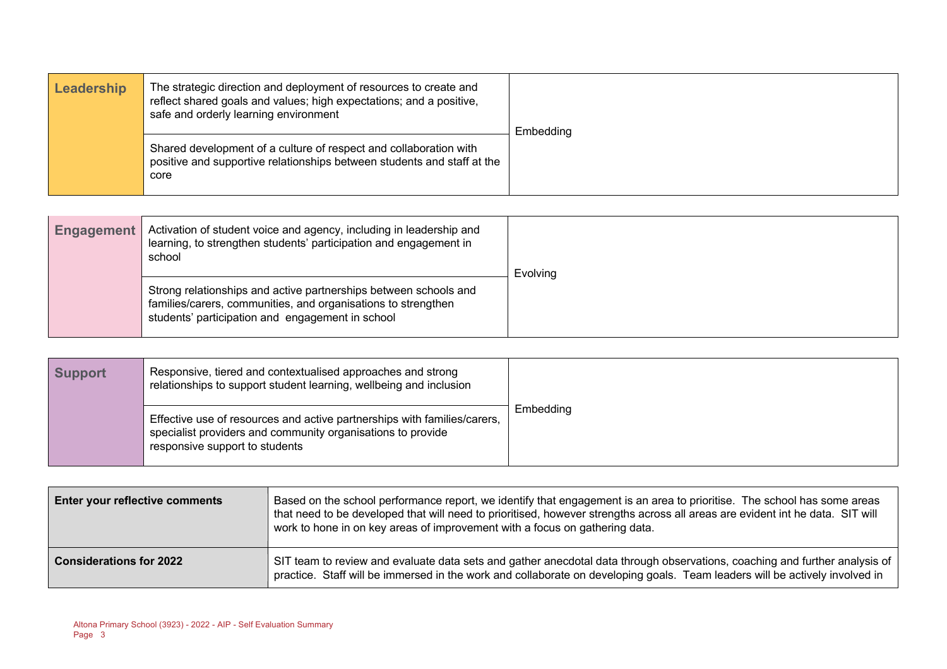| Leadership | The strategic direction and deployment of resources to create and<br>reflect shared goals and values; high expectations; and a positive,<br>safe and orderly learning environment | Embedding |
|------------|-----------------------------------------------------------------------------------------------------------------------------------------------------------------------------------|-----------|
|            | Shared development of a culture of respect and collaboration with<br>positive and supportive relationships between students and staff at the<br>core                              |           |

| <b>Engagement</b> | Activation of student voice and agency, including in leadership and<br>learning, to strengthen students' participation and engagement in<br>school                                    | Evolving |
|-------------------|---------------------------------------------------------------------------------------------------------------------------------------------------------------------------------------|----------|
|                   | Strong relationships and active partnerships between schools and<br>families/carers, communities, and organisations to strengthen<br>students' participation and engagement in school |          |

| <b>Support</b> | Responsive, tiered and contextualised approaches and strong<br>relationships to support student learning, wellbeing and inclusion                                         |           |
|----------------|---------------------------------------------------------------------------------------------------------------------------------------------------------------------------|-----------|
|                | Effective use of resources and active partnerships with families/carers,<br>specialist providers and community organisations to provide<br>responsive support to students | Embedding |

| <b>Enter your reflective comments</b> | Based on the school performance report, we identify that engagement is an area to prioritise. The school has some areas<br>that need to be developed that will need to prioritised, however strengths across all areas are evident int he data. SIT will<br>work to hone in on key areas of improvement with a focus on gathering data. |
|---------------------------------------|-----------------------------------------------------------------------------------------------------------------------------------------------------------------------------------------------------------------------------------------------------------------------------------------------------------------------------------------|
| <b>Considerations for 2022</b>        | SIT team to review and evaluate data sets and gather anecdotal data through observations, coaching and further analysis of<br>practice. Staff will be immersed in the work and collaborate on developing goals. Team leaders will be actively involved in                                                                               |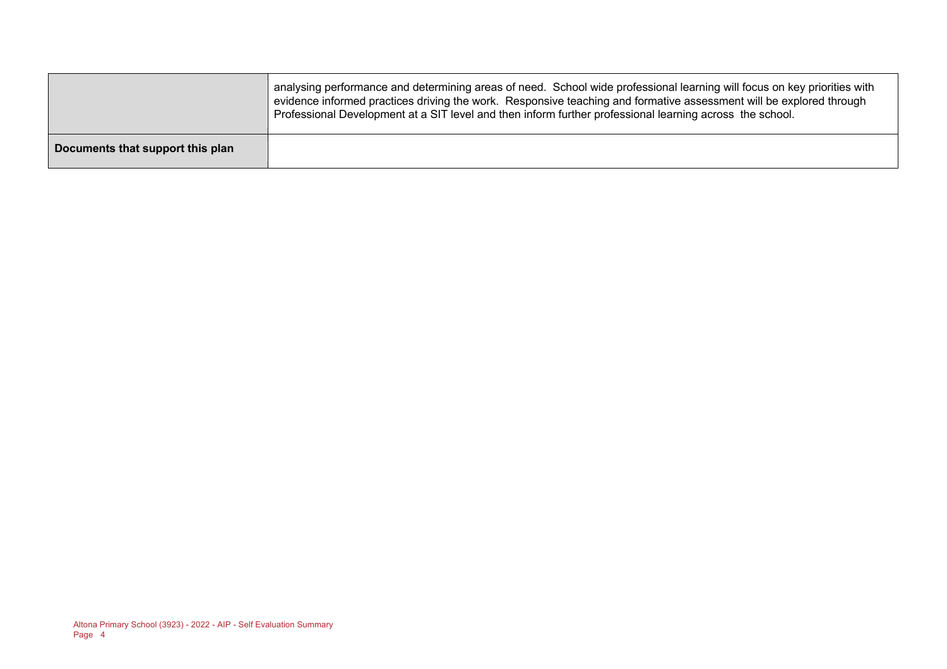|                                  | analysing performance and determining areas of need. School wide professional learning will focus on key priorities with<br>evidence informed practices driving the work. Responsive teaching and formative assessment will be explored through<br>Professional Development at a SIT level and then inform further professional learning across the school. |
|----------------------------------|-------------------------------------------------------------------------------------------------------------------------------------------------------------------------------------------------------------------------------------------------------------------------------------------------------------------------------------------------------------|
| Documents that support this plan |                                                                                                                                                                                                                                                                                                                                                             |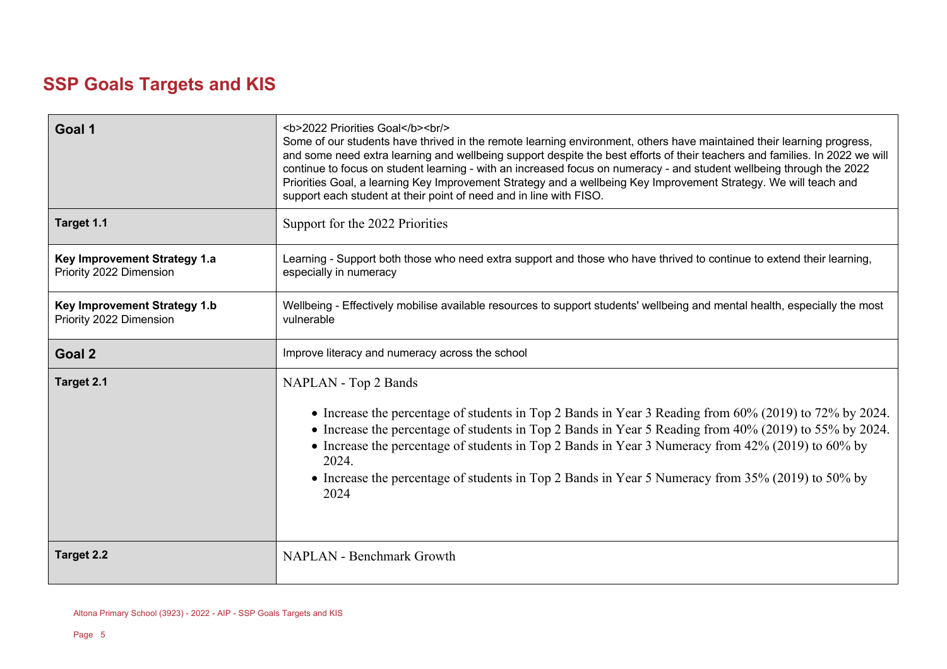# **SSP Goals Targets and KIS**

| Goal 1                                                  | <b>2022 Priorities Goal</b><br><br>Some of our students have thrived in the remote learning environment, others have maintained their learning progress,<br>and some need extra learning and wellbeing support despite the best efforts of their teachers and families. In 2022 we will<br>continue to focus on student learning - with an increased focus on numeracy - and student wellbeing through the 2022<br>Priorities Goal, a learning Key Improvement Strategy and a wellbeing Key Improvement Strategy. We will teach and<br>support each student at their point of need and in line with FISO. |
|---------------------------------------------------------|-----------------------------------------------------------------------------------------------------------------------------------------------------------------------------------------------------------------------------------------------------------------------------------------------------------------------------------------------------------------------------------------------------------------------------------------------------------------------------------------------------------------------------------------------------------------------------------------------------------|
| Target 1.1                                              | Support for the 2022 Priorities                                                                                                                                                                                                                                                                                                                                                                                                                                                                                                                                                                           |
| Key Improvement Strategy 1.a<br>Priority 2022 Dimension | Learning - Support both those who need extra support and those who have thrived to continue to extend their learning,<br>especially in numeracy                                                                                                                                                                                                                                                                                                                                                                                                                                                           |
| Key Improvement Strategy 1.b<br>Priority 2022 Dimension | Wellbeing - Effectively mobilise available resources to support students' wellbeing and mental health, especially the most<br>vulnerable                                                                                                                                                                                                                                                                                                                                                                                                                                                                  |
| Goal 2                                                  | Improve literacy and numeracy across the school                                                                                                                                                                                                                                                                                                                                                                                                                                                                                                                                                           |
| Target 2.1                                              | NAPLAN - Top 2 Bands<br>• Increase the percentage of students in Top 2 Bands in Year 3 Reading from 60% (2019) to 72% by 2024.<br>• Increase the percentage of students in Top 2 Bands in Year 5 Reading from 40% (2019) to 55% by 2024.<br>• Increase the percentage of students in Top 2 Bands in Year 3 Numeracy from 42% (2019) to 60% by<br>2024.<br>• Increase the percentage of students in Top 2 Bands in Year 5 Numeracy from 35% (2019) to 50% by<br>2024                                                                                                                                       |
| Target 2.2                                              | <b>NAPLAN - Benchmark Growth</b>                                                                                                                                                                                                                                                                                                                                                                                                                                                                                                                                                                          |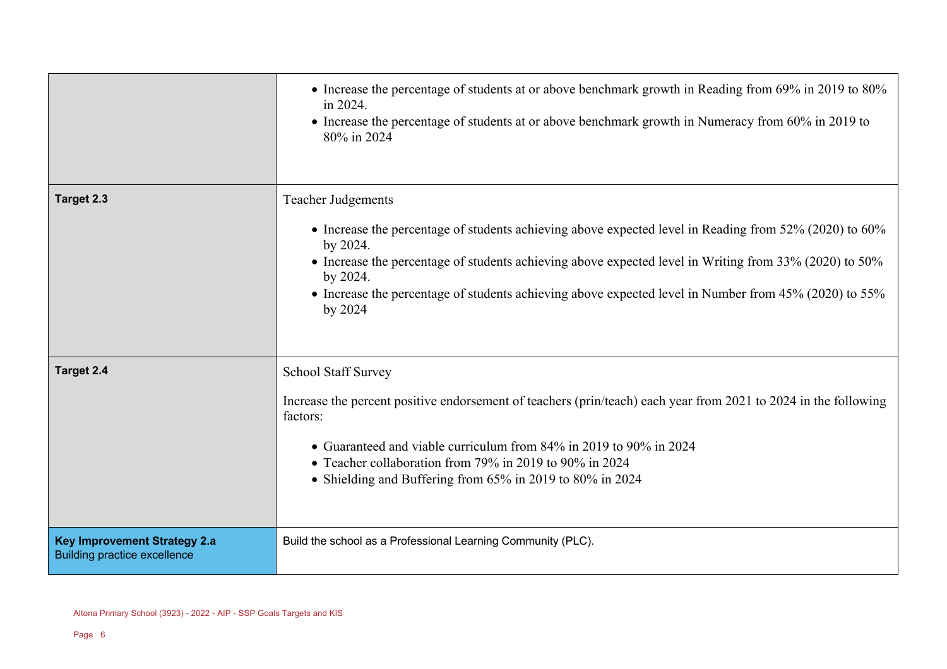|                                                                            | • Increase the percentage of students at or above benchmark growth in Reading from 69% in 2019 to 80%<br>in 2024.<br>• Increase the percentage of students at or above benchmark growth in Numeracy from 60% in 2019 to<br>80% in 2024                                                                                                                                                    |
|----------------------------------------------------------------------------|-------------------------------------------------------------------------------------------------------------------------------------------------------------------------------------------------------------------------------------------------------------------------------------------------------------------------------------------------------------------------------------------|
| Target 2.3                                                                 | <b>Teacher Judgements</b><br>• Increase the percentage of students achieving above expected level in Reading from 52% (2020) to 60%<br>by 2024.<br>• Increase the percentage of students achieving above expected level in Writing from 33% (2020) to 50%<br>by 2024.<br>• Increase the percentage of students achieving above expected level in Number from 45% (2020) to 55%<br>by 2024 |
| Target 2.4                                                                 | <b>School Staff Survey</b><br>Increase the percent positive endorsement of teachers (prin/teach) each year from 2021 to 2024 in the following<br>factors:<br>• Guaranteed and viable curriculum from 84% in 2019 to 90% in 2024<br>• Teacher collaboration from 79% in 2019 to 90% in 2024<br>• Shielding and Buffering from 65% in 2019 to 80% in 2024                                   |
| <b>Key Improvement Strategy 2.a</b><br><b>Building practice excellence</b> | Build the school as a Professional Learning Community (PLC).                                                                                                                                                                                                                                                                                                                              |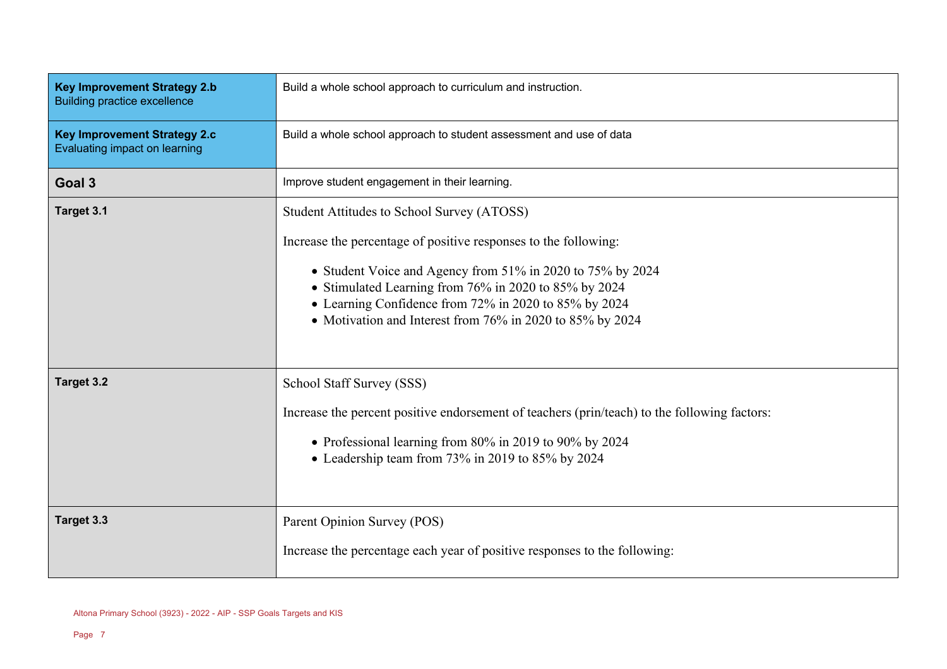| <b>Key Improvement Strategy 2.b</b><br><b>Building practice excellence</b> | Build a whole school approach to curriculum and instruction.                                                                                                                                                                                                                                                                                               |
|----------------------------------------------------------------------------|------------------------------------------------------------------------------------------------------------------------------------------------------------------------------------------------------------------------------------------------------------------------------------------------------------------------------------------------------------|
| <b>Key Improvement Strategy 2.c</b><br>Evaluating impact on learning       | Build a whole school approach to student assessment and use of data                                                                                                                                                                                                                                                                                        |
| Goal 3                                                                     | Improve student engagement in their learning.                                                                                                                                                                                                                                                                                                              |
| Target 3.1                                                                 | Student Attitudes to School Survey (ATOSS)<br>Increase the percentage of positive responses to the following:<br>• Student Voice and Agency from 51% in 2020 to 75% by 2024<br>• Stimulated Learning from 76% in 2020 to 85% by 2024<br>• Learning Confidence from 72% in 2020 to 85% by 2024<br>• Motivation and Interest from 76% in 2020 to 85% by 2024 |
| Target 3.2                                                                 | School Staff Survey (SSS)<br>Increase the percent positive endorsement of teachers (prin/teach) to the following factors:<br>• Professional learning from 80% in 2019 to 90% by 2024<br>• Leadership team from 73% in 2019 to 85% by 2024                                                                                                                  |
| Target 3.3                                                                 | Parent Opinion Survey (POS)<br>Increase the percentage each year of positive responses to the following:                                                                                                                                                                                                                                                   |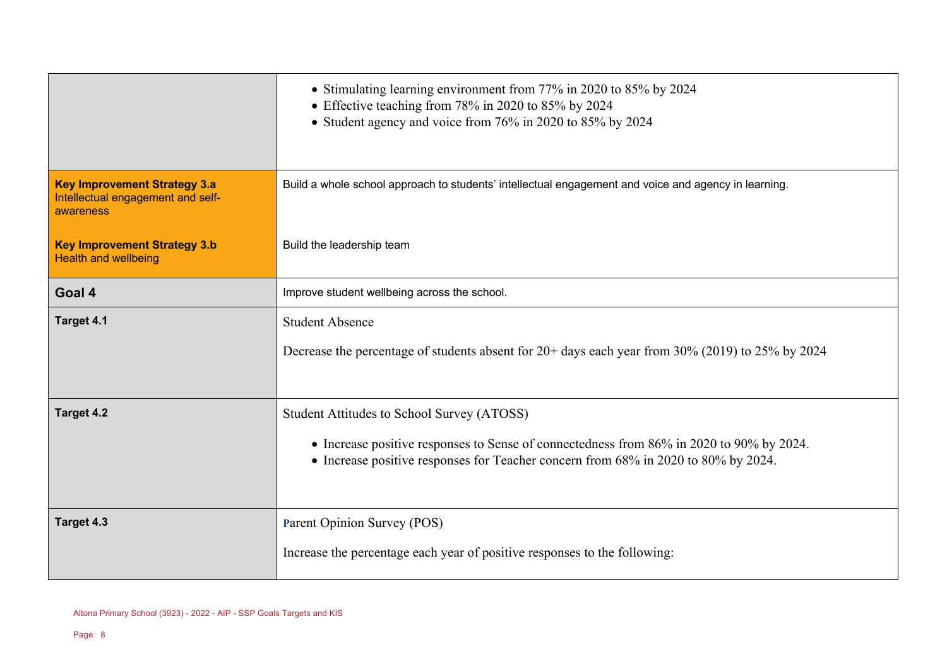|                                                                                       | • Stimulating learning environment from 77% in 2020 to 85% by 2024<br>• Effective teaching from 78% in 2020 to 85% by 2024<br>• Student agency and voice from 76% in 2020 to 85% by 2024                                     |
|---------------------------------------------------------------------------------------|------------------------------------------------------------------------------------------------------------------------------------------------------------------------------------------------------------------------------|
| <b>Key Improvement Strategy 3.a</b><br>Intellectual engagement and self-<br>awareness | Build a whole school approach to students' intellectual engagement and voice and agency in learning.                                                                                                                         |
| <b>Key Improvement Strategy 3.b</b><br><b>Health and wellbeing</b>                    | Build the leadership team                                                                                                                                                                                                    |
| Goal 4                                                                                | Improve student wellbeing across the school.                                                                                                                                                                                 |
| Target 4.1                                                                            | <b>Student Absence</b><br>Decrease the percentage of students absent for 20+ days each year from 30% (2019) to 25% by 2024                                                                                                   |
| Target 4.2                                                                            | Student Attitudes to School Survey (ATOSS)<br>• Increase positive responses to Sense of connectedness from 86% in 2020 to 90% by 2024.<br>• Increase positive responses for Teacher concern from 68% in 2020 to 80% by 2024. |
| Target 4.3                                                                            | Parent Opinion Survey (POS)<br>Increase the percentage each year of positive responses to the following:                                                                                                                     |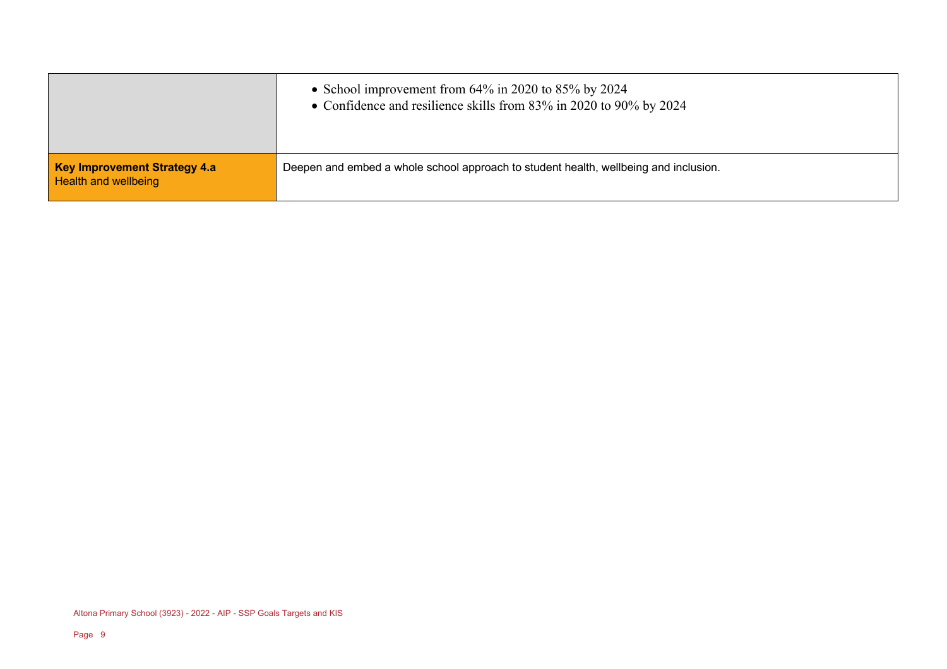|                                                             | • School improvement from $64\%$ in 2020 to 85% by 2024<br>• Confidence and resilience skills from 83% in 2020 to 90% by 2024 |
|-------------------------------------------------------------|-------------------------------------------------------------------------------------------------------------------------------|
| Key Improvement Strategy 4.a<br><b>Health and wellbeing</b> | Deepen and embed a whole school approach to student health, wellbeing and inclusion.                                          |

Altona Primary School (3923) - 2022 - AIP - SSP Goals Targets and KIS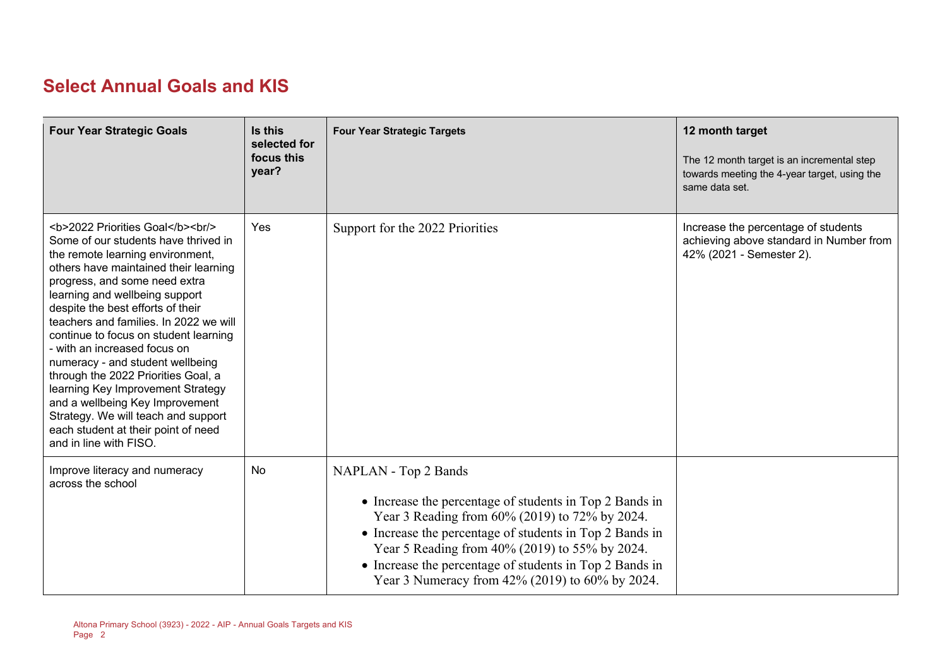# **Select Annual Goals and KIS**

| <b>Four Year Strategic Goals</b>                                                                                   | Is this<br>selected for<br>focus this<br>year? | <b>Four Year Strategic Targets</b>                                                                                                                                                                                                                                                                                                                           | 12 month target<br>The 12 month target is an incremental step<br>towards meeting the 4-year target, using the<br>same data set. |
|--------------------------------------------------------------------------------------------------------------------|------------------------------------------------|--------------------------------------------------------------------------------------------------------------------------------------------------------------------------------------------------------------------------------------------------------------------------------------------------------------------------------------------------------------|---------------------------------------------------------------------------------------------------------------------------------|
| <b>2022 Priorities Goal</b><br>>hr<br>Some of our students have thrived in<br>the remote learning environment,<br> | Yes                                            | Support for the 2022 Priorities                                                                                                                                                                                                                                                                                                                              | Increase the percentage of students<br>achieving above standard in Number from<br>42% (2021 - Semester 2).                      |
| Improve literacy and numeracy<br>across the school                                                                 | No                                             | NAPLAN - Top 2 Bands<br>• Increase the percentage of students in Top 2 Bands in<br>Year 3 Reading from 60% (2019) to 72% by 2024.<br>• Increase the percentage of students in Top 2 Bands in<br>Year 5 Reading from 40% (2019) to 55% by 2024.<br>• Increase the percentage of students in Top 2 Bands in<br>Year 3 Numeracy from 42% (2019) to 60% by 2024. |                                                                                                                                 |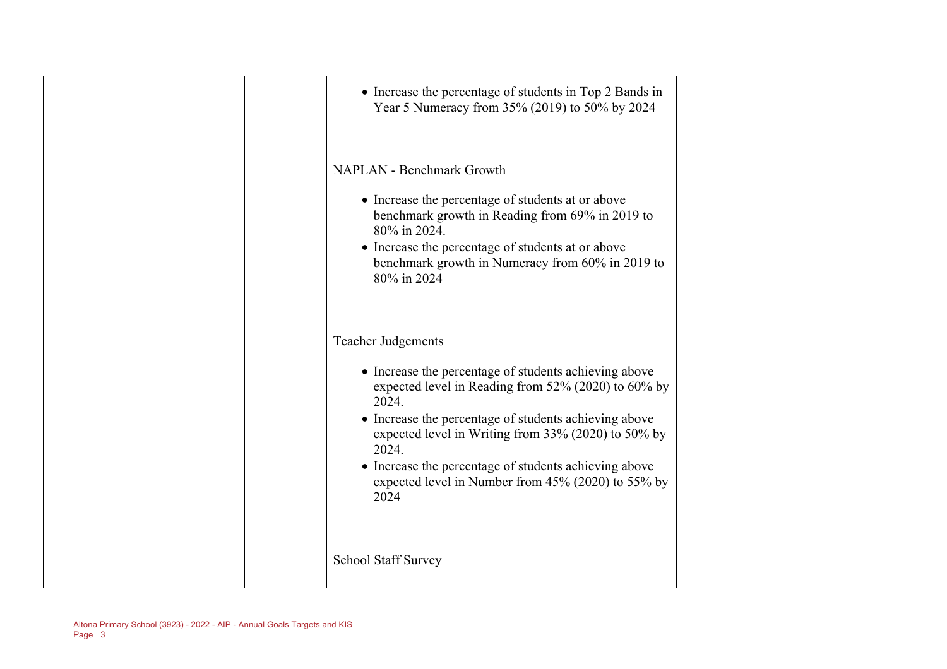| • Increase the percentage of students in Top 2 Bands in<br>Year 5 Numeracy from 35% (2019) to 50% by 2024                                                                                                                                                                                                                                                                                          |  |
|----------------------------------------------------------------------------------------------------------------------------------------------------------------------------------------------------------------------------------------------------------------------------------------------------------------------------------------------------------------------------------------------------|--|
| <b>NAPLAN - Benchmark Growth</b><br>• Increase the percentage of students at or above<br>benchmark growth in Reading from 69% in 2019 to<br>80% in 2024.<br>• Increase the percentage of students at or above<br>benchmark growth in Numeracy from 60% in 2019 to<br>80% in 2024                                                                                                                   |  |
| <b>Teacher Judgements</b><br>• Increase the percentage of students achieving above<br>expected level in Reading from 52% (2020) to 60% by<br>2024.<br>• Increase the percentage of students achieving above<br>expected level in Writing from 33% (2020) to 50% by<br>2024.<br>• Increase the percentage of students achieving above<br>expected level in Number from 45% (2020) to 55% by<br>2024 |  |
| <b>School Staff Survey</b>                                                                                                                                                                                                                                                                                                                                                                         |  |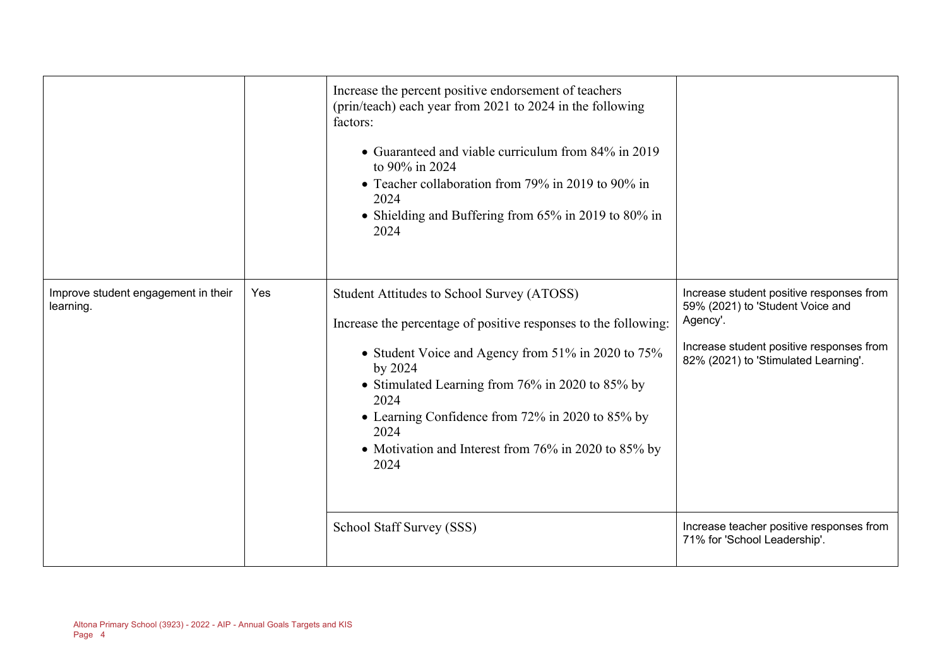|                                                  |     | Increase the percent positive endorsement of teachers<br>(prin/teach) each year from 2021 to 2024 in the following<br>factors:<br>• Guaranteed and viable curriculum from 84% in 2019<br>to 90% in 2024<br>• Teacher collaboration from 79% in 2019 to 90% in<br>2024<br>• Shielding and Buffering from 65% in 2019 to 80% in<br>2024                                  |                                                                                                                                                                              |
|--------------------------------------------------|-----|------------------------------------------------------------------------------------------------------------------------------------------------------------------------------------------------------------------------------------------------------------------------------------------------------------------------------------------------------------------------|------------------------------------------------------------------------------------------------------------------------------------------------------------------------------|
| Improve student engagement in their<br>learning. | Yes | Student Attitudes to School Survey (ATOSS)<br>Increase the percentage of positive responses to the following:<br>• Student Voice and Agency from 51% in 2020 to 75%<br>by 2024<br>• Stimulated Learning from 76% in 2020 to 85% by<br>2024<br>• Learning Confidence from 72% in 2020 to 85% by<br>2024<br>• Motivation and Interest from 76% in 2020 to 85% by<br>2024 | Increase student positive responses from<br>59% (2021) to 'Student Voice and<br>Agency'.<br>Increase student positive responses from<br>82% (2021) to 'Stimulated Learning'. |
|                                                  |     | School Staff Survey (SSS)                                                                                                                                                                                                                                                                                                                                              | Increase teacher positive responses from<br>71% for 'School Leadership'.                                                                                                     |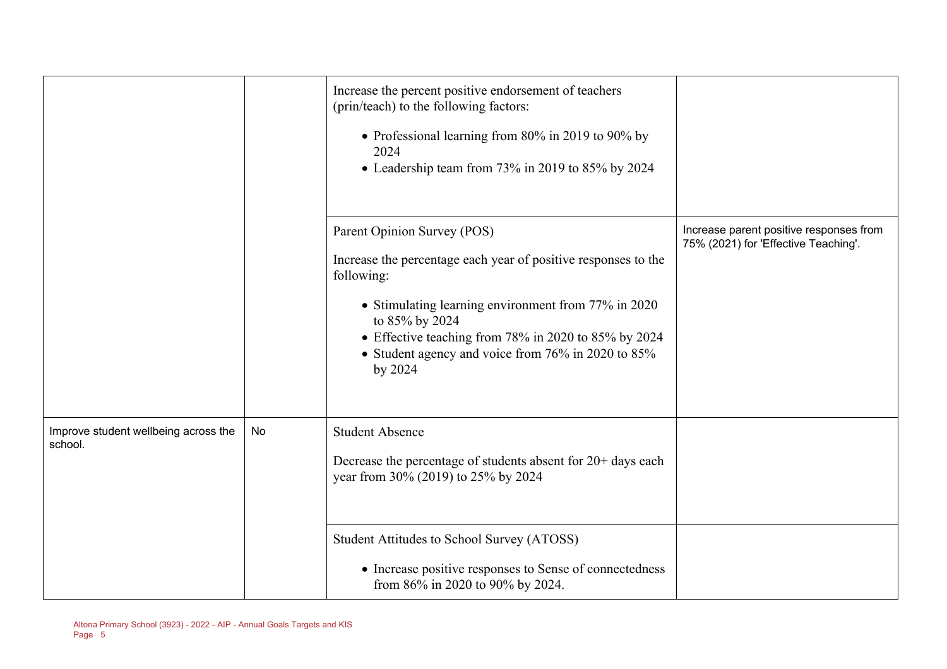|                                                 |    | Increase the percent positive endorsement of teachers<br>(prin/teach) to the following factors:<br>• Professional learning from 80% in 2019 to 90% by<br>2024<br>• Leadership team from 73% in 2019 to 85% by 2024                                                                                            |                                                                                 |
|-------------------------------------------------|----|---------------------------------------------------------------------------------------------------------------------------------------------------------------------------------------------------------------------------------------------------------------------------------------------------------------|---------------------------------------------------------------------------------|
|                                                 |    | Parent Opinion Survey (POS)<br>Increase the percentage each year of positive responses to the<br>following:<br>• Stimulating learning environment from 77% in 2020<br>to 85% by 2024<br>• Effective teaching from 78% in 2020 to 85% by 2024<br>• Student agency and voice from 76% in 2020 to 85%<br>by 2024 | Increase parent positive responses from<br>75% (2021) for 'Effective Teaching'. |
| Improve student wellbeing across the<br>school. | No | <b>Student Absence</b><br>Decrease the percentage of students absent for 20+ days each<br>year from 30% (2019) to 25% by 2024                                                                                                                                                                                 |                                                                                 |
|                                                 |    | Student Attitudes to School Survey (ATOSS)<br>• Increase positive responses to Sense of connectedness<br>from 86% in 2020 to 90% by 2024.                                                                                                                                                                     |                                                                                 |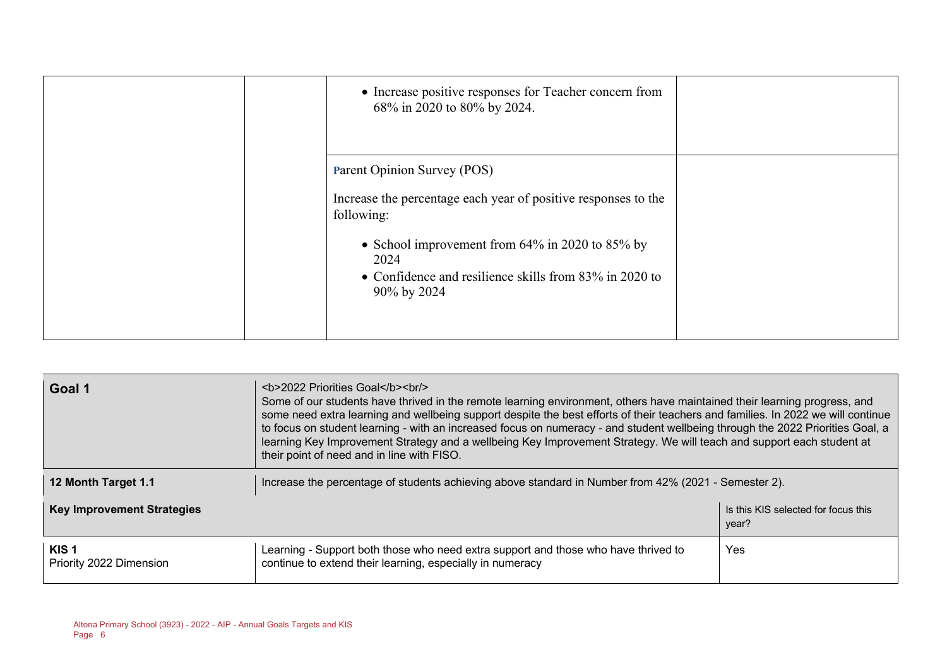| • Increase positive responses for Teacher concern from<br>68% in 2020 to 80% by 2024.                                                                                                                                                              |  |
|----------------------------------------------------------------------------------------------------------------------------------------------------------------------------------------------------------------------------------------------------|--|
| Parent Opinion Survey (POS)<br>Increase the percentage each year of positive responses to the<br>following:<br>• School improvement from $64\%$ in 2020 to 85% by<br>2024<br>• Confidence and resilience skills from 83% in 2020 to<br>90% by 2024 |  |

| Goal 1                                                                            | <b>2022 Priorities Goal</b><br>Some of our students have thrived in the remote learning environment, others have maintained their learning progress, and<br>some need extra learning and wellbeing support despite the best efforts of their teachers and families. In 2022 we will continue<br>to focus on student learning - with an increased focus on numeracy - and student wellbeing through the 2022 Priorities Goal, a<br>learning Key Improvement Strategy and a wellbeing Key Improvement Strategy. We will teach and support each student at<br>their point of need and in line with FISO. |            |  |  |
|-----------------------------------------------------------------------------------|-------------------------------------------------------------------------------------------------------------------------------------------------------------------------------------------------------------------------------------------------------------------------------------------------------------------------------------------------------------------------------------------------------------------------------------------------------------------------------------------------------------------------------------------------------------------------------------------------------|------------|--|--|
| 12 Month Target 1.1                                                               | Increase the percentage of students achieving above standard in Number from 42% (2021 - Semester 2).                                                                                                                                                                                                                                                                                                                                                                                                                                                                                                  |            |  |  |
| <b>Key Improvement Strategies</b><br>Is this KIS selected for focus this<br>year? |                                                                                                                                                                                                                                                                                                                                                                                                                                                                                                                                                                                                       |            |  |  |
| KIS <sub>1</sub><br>Priority 2022 Dimension                                       | Learning - Support both those who need extra support and those who have thrived to<br>continue to extend their learning, especially in numeracy                                                                                                                                                                                                                                                                                                                                                                                                                                                       | <b>Yes</b> |  |  |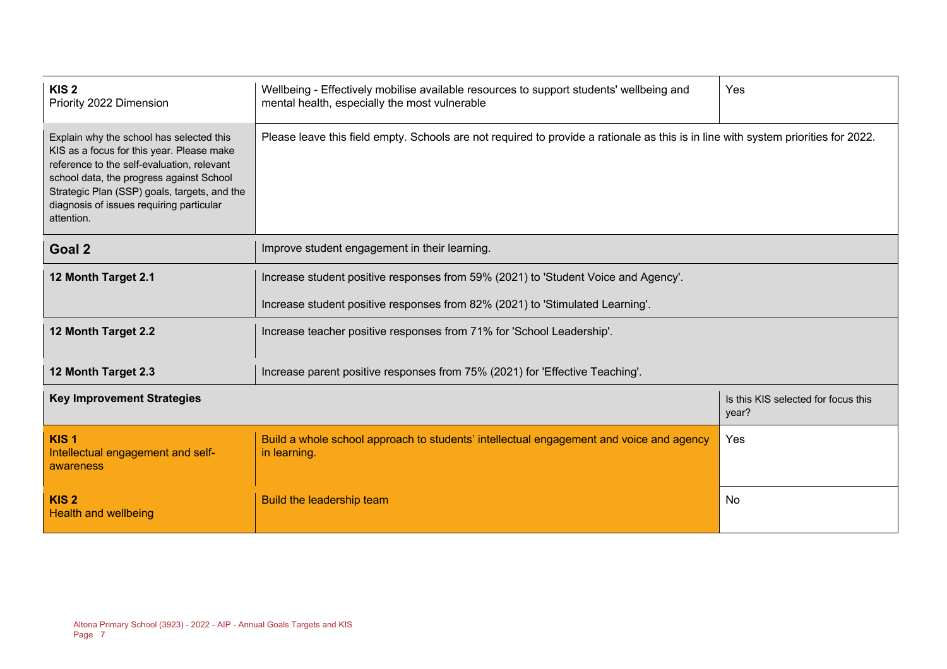| KIS <sub>2</sub><br>Priority 2022 Dimension                                                                                                                                                                                                                                               | Wellbeing - Effectively mobilise available resources to support students' wellbeing and<br>mental health, especially the most vulnerable | Yes |  |  |  |
|-------------------------------------------------------------------------------------------------------------------------------------------------------------------------------------------------------------------------------------------------------------------------------------------|------------------------------------------------------------------------------------------------------------------------------------------|-----|--|--|--|
| Explain why the school has selected this<br>KIS as a focus for this year. Please make<br>reference to the self-evaluation, relevant<br>school data, the progress against School<br>Strategic Plan (SSP) goals, targets, and the<br>diagnosis of issues requiring particular<br>attention. | Please leave this field empty. Schools are not required to provide a rationale as this is in line with system priorities for 2022.       |     |  |  |  |
| Goal 2                                                                                                                                                                                                                                                                                    | Improve student engagement in their learning.                                                                                            |     |  |  |  |
| 12 Month Target 2.1                                                                                                                                                                                                                                                                       | Increase student positive responses from 59% (2021) to 'Student Voice and Agency'.                                                       |     |  |  |  |
|                                                                                                                                                                                                                                                                                           | Increase student positive responses from 82% (2021) to 'Stimulated Learning'.                                                            |     |  |  |  |
| 12 Month Target 2.2                                                                                                                                                                                                                                                                       | Increase teacher positive responses from 71% for 'School Leadership'.                                                                    |     |  |  |  |
| 12 Month Target 2.3                                                                                                                                                                                                                                                                       | Increase parent positive responses from 75% (2021) for 'Effective Teaching'.                                                             |     |  |  |  |
| <b>Key Improvement Strategies</b><br>Is this KIS selected for focus this<br>year?                                                                                                                                                                                                         |                                                                                                                                          |     |  |  |  |
| KIS <sub>1</sub><br>Intellectual engagement and self-<br>awareness                                                                                                                                                                                                                        | Build a whole school approach to students' intellectual engagement and voice and agency<br>Yes<br>in learning.                           |     |  |  |  |
| KIS <sub>2</sub><br><b>Health and wellbeing</b>                                                                                                                                                                                                                                           | Build the leadership team<br>No                                                                                                          |     |  |  |  |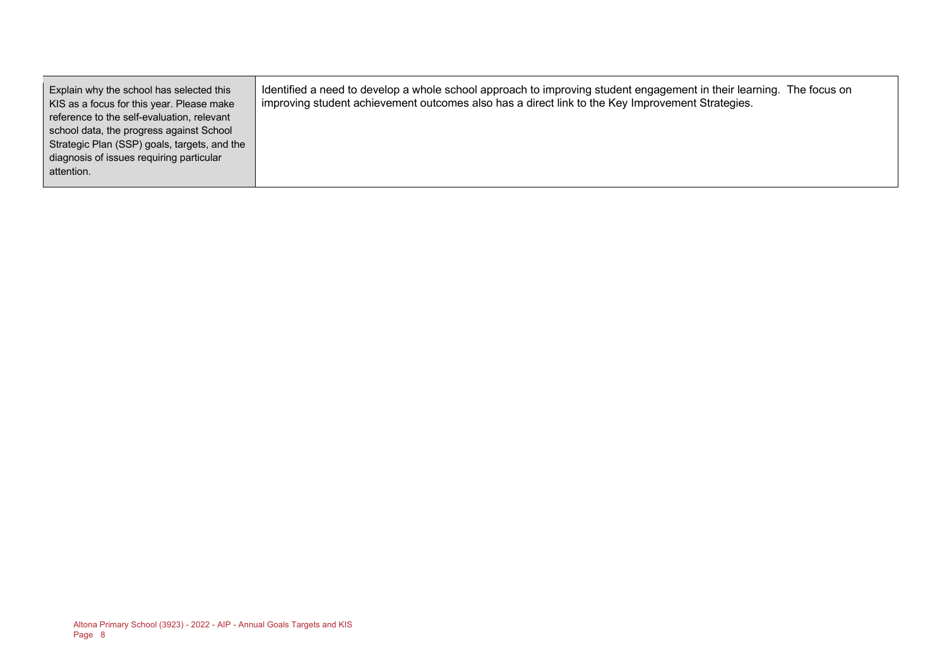Explain why the school has selected this KIS as a focus for this year. Please make reference to the self-evaluation, relevant school data, the progress against School Strategic Plan (SSP) goals, targets, and the diagnosis of issues requiring particular attention.

Identified a need to develop a whole school approach to improving student engagement in their learning. The focus on improving student achievement outcomes also has a direct link to the Key Improvement Strategies.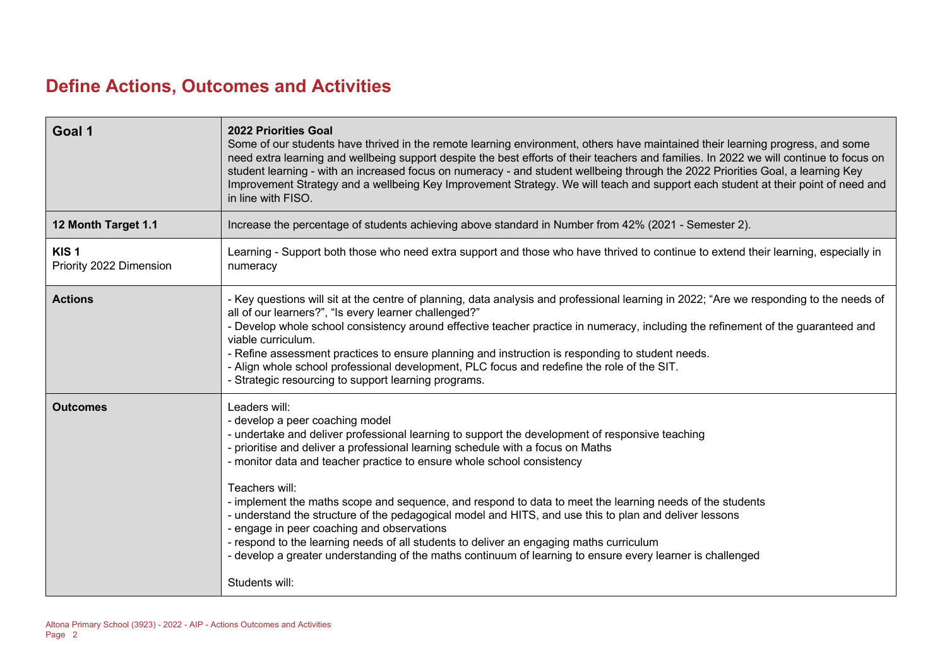# **Define Actions, Outcomes and Activities**

| Goal 1                                      | <b>2022 Priorities Goal</b><br>Some of our students have thrived in the remote learning environment, others have maintained their learning progress, and some<br>need extra learning and wellbeing support despite the best efforts of their teachers and families. In 2022 we will continue to focus on<br>student learning - with an increased focus on numeracy - and student wellbeing through the 2022 Priorities Goal, a learning Key<br>Improvement Strategy and a wellbeing Key Improvement Strategy. We will teach and support each student at their point of need and<br>in line with FISO.                                                                                                                                                                                                                           |
|---------------------------------------------|---------------------------------------------------------------------------------------------------------------------------------------------------------------------------------------------------------------------------------------------------------------------------------------------------------------------------------------------------------------------------------------------------------------------------------------------------------------------------------------------------------------------------------------------------------------------------------------------------------------------------------------------------------------------------------------------------------------------------------------------------------------------------------------------------------------------------------|
| 12 Month Target 1.1                         | Increase the percentage of students achieving above standard in Number from 42% (2021 - Semester 2).                                                                                                                                                                                                                                                                                                                                                                                                                                                                                                                                                                                                                                                                                                                            |
| KIS <sub>1</sub><br>Priority 2022 Dimension | Learning - Support both those who need extra support and those who have thrived to continue to extend their learning, especially in<br>numeracy                                                                                                                                                                                                                                                                                                                                                                                                                                                                                                                                                                                                                                                                                 |
| <b>Actions</b>                              | - Key questions will sit at the centre of planning, data analysis and professional learning in 2022; "Are we responding to the needs of<br>all of our learners?", "Is every learner challenged?"<br>- Develop whole school consistency around effective teacher practice in numeracy, including the refinement of the guaranteed and<br>viable curriculum.<br>- Refine assessment practices to ensure planning and instruction is responding to student needs.<br>- Align whole school professional development, PLC focus and redefine the role of the SIT.<br>- Strategic resourcing to support learning programs.                                                                                                                                                                                                            |
| <b>Outcomes</b>                             | Leaders will:<br>- develop a peer coaching model<br>- undertake and deliver professional learning to support the development of responsive teaching<br>prioritise and deliver a professional learning schedule with a focus on Maths<br>- monitor data and teacher practice to ensure whole school consistency<br>Teachers will:<br>- implement the maths scope and sequence, and respond to data to meet the learning needs of the students<br>- understand the structure of the pedagogical model and HITS, and use this to plan and deliver lessons<br>- engage in peer coaching and observations<br>- respond to the learning needs of all students to deliver an engaging maths curriculum<br>- develop a greater understanding of the maths continuum of learning to ensure every learner is challenged<br>Students will: |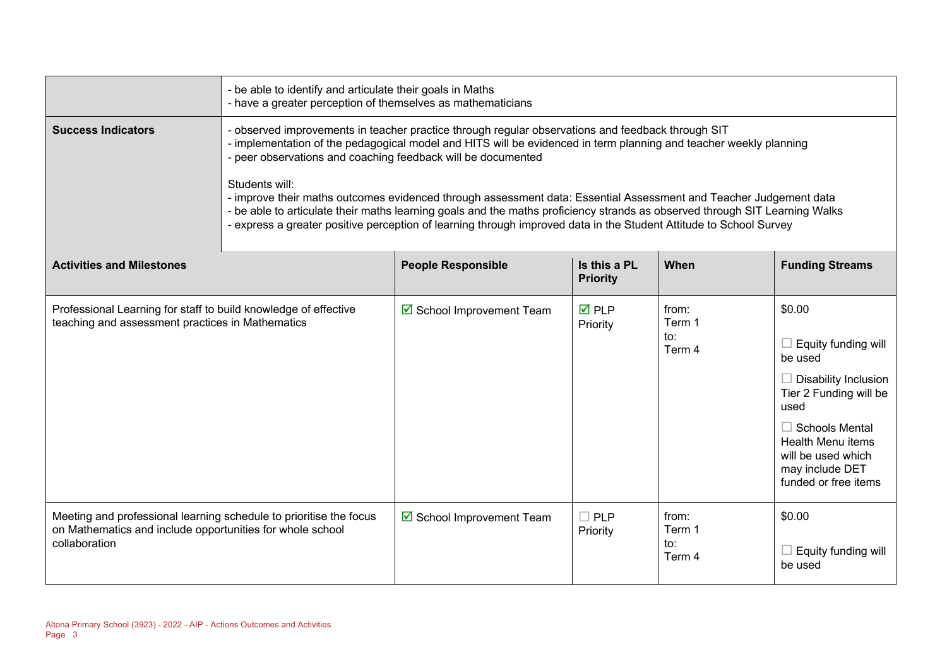|                                                                                                                                                  | - be able to identify and articulate their goals in Maths<br>- have a greater perception of themselves as mathematicians                                                                                                                                                                                                                                                                                                                                                                                                                                                                                                                                                           |                                     |                                |                                  |                                                                                                                                                                                                            |
|--------------------------------------------------------------------------------------------------------------------------------------------------|------------------------------------------------------------------------------------------------------------------------------------------------------------------------------------------------------------------------------------------------------------------------------------------------------------------------------------------------------------------------------------------------------------------------------------------------------------------------------------------------------------------------------------------------------------------------------------------------------------------------------------------------------------------------------------|-------------------------------------|--------------------------------|----------------------------------|------------------------------------------------------------------------------------------------------------------------------------------------------------------------------------------------------------|
| <b>Success Indicators</b>                                                                                                                        | - observed improvements in teacher practice through regular observations and feedback through SIT<br>- implementation of the pedagogical model and HITS will be evidenced in term planning and teacher weekly planning<br>- peer observations and coaching feedback will be documented<br>Students will:<br>- improve their maths outcomes evidenced through assessment data: Essential Assessment and Teacher Judgement data<br>- be able to articulate their maths learning goals and the maths proficiency strands as observed through SIT Learning Walks<br>- express a greater positive perception of learning through improved data in the Student Attitude to School Survey |                                     |                                |                                  |                                                                                                                                                                                                            |
| <b>Activities and Milestones</b>                                                                                                                 | Is this a PL<br>When<br><b>People Responsible</b><br><b>Priority</b>                                                                                                                                                                                                                                                                                                                                                                                                                                                                                                                                                                                                               |                                     |                                |                                  | <b>Funding Streams</b>                                                                                                                                                                                     |
| Professional Learning for staff to build knowledge of effective<br>teaching and assessment practices in Mathematics                              |                                                                                                                                                                                                                                                                                                                                                                                                                                                                                                                                                                                                                                                                                    | $\boxtimes$ School Improvement Team | $\overline{M}$ PLP<br>Priority | from:<br>Term 1<br>to:<br>Term 4 | \$0.00<br>Equity funding will<br>be used<br>Disability Inclusion<br>Tier 2 Funding will be<br>used<br>Schools Mental<br>Health Menu items<br>will be used which<br>may include DET<br>funded or free items |
| Meeting and professional learning schedule to prioritise the focus<br>on Mathematics and include opportunities for whole school<br>collaboration |                                                                                                                                                                                                                                                                                                                                                                                                                                                                                                                                                                                                                                                                                    | $\boxtimes$ School Improvement Team | $\square$ PLP<br>Priority      | from:<br>Term 1<br>to:<br>Term 4 | \$0.00<br>Equity funding will<br>be used                                                                                                                                                                   |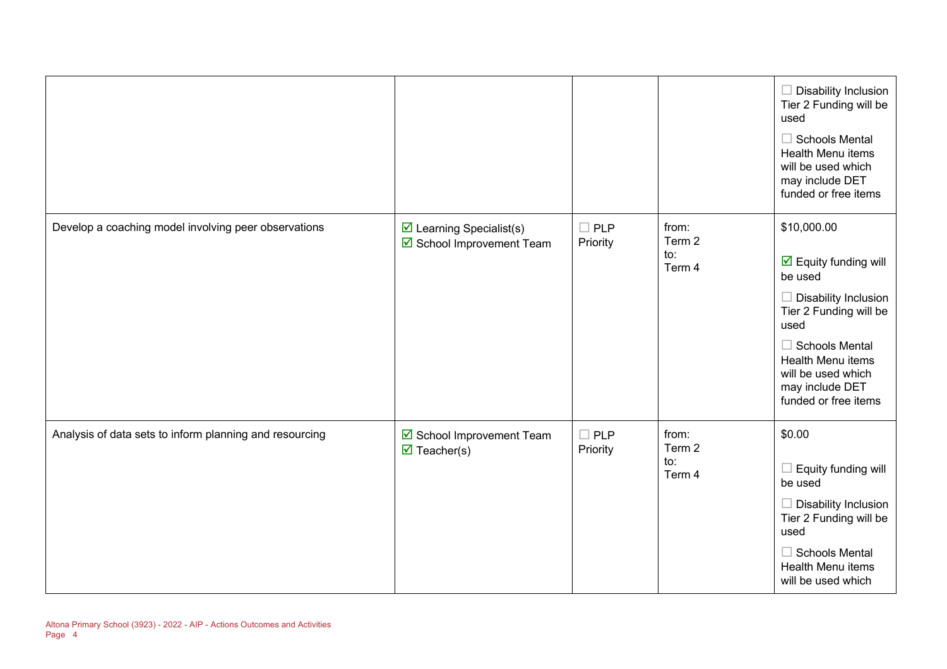|                                                         |                                                                      |                           |                                  | $\Box$ Disability Inclusion<br>Tier 2 Funding will be<br>used<br>$\Box$ Schools Mental<br>Health Menu items<br>will be used which<br>may include DET<br>funded or free items                                                                          |
|---------------------------------------------------------|----------------------------------------------------------------------|---------------------------|----------------------------------|-------------------------------------------------------------------------------------------------------------------------------------------------------------------------------------------------------------------------------------------------------|
| Develop a coaching model involving peer observations    | $\triangleright$ Learning Specialist(s)<br>☑ School Improvement Team | $\square$ PLP<br>Priority | from:<br>Term 2<br>to:<br>Term 4 | \$10,000.00<br>$\overline{\mathbf{y}}$ Equity funding will<br>be used<br>$\Box$ Disability Inclusion<br>Tier 2 Funding will be<br>used<br>$\Box$ Schools Mental<br>Health Menu items<br>will be used which<br>may include DET<br>funded or free items |
| Analysis of data sets to inform planning and resourcing | School Improvement Team<br>$\overline{\mathbf{z}}$ Teacher(s)        | $\Box$ PLP<br>Priority    | from:<br>Term 2<br>to:<br>Term 4 | \$0.00<br>$\Box$ Equity funding will<br>be used<br>$\Box$ Disability Inclusion<br>Tier 2 Funding will be<br>used<br>$\Box$ Schools Mental<br>Health Menu items<br>will be used which                                                                  |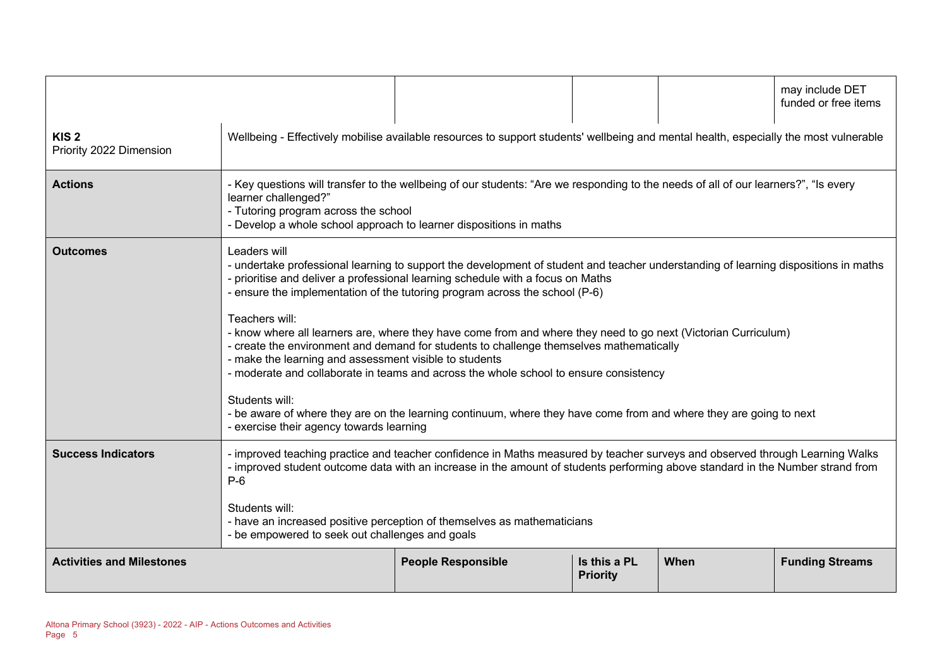|                                             |                                                                                                                                                                                                                                                                                                                                                                                                                                                                                                                                                                                                                                                                                                                                                                                                                                                                                             |                           |                                 |      | may include DET<br>funded or free items |  |
|---------------------------------------------|---------------------------------------------------------------------------------------------------------------------------------------------------------------------------------------------------------------------------------------------------------------------------------------------------------------------------------------------------------------------------------------------------------------------------------------------------------------------------------------------------------------------------------------------------------------------------------------------------------------------------------------------------------------------------------------------------------------------------------------------------------------------------------------------------------------------------------------------------------------------------------------------|---------------------------|---------------------------------|------|-----------------------------------------|--|
| KIS <sub>2</sub><br>Priority 2022 Dimension | Wellbeing - Effectively mobilise available resources to support students' wellbeing and mental health, especially the most vulnerable                                                                                                                                                                                                                                                                                                                                                                                                                                                                                                                                                                                                                                                                                                                                                       |                           |                                 |      |                                         |  |
| <b>Actions</b>                              | - Key questions will transfer to the wellbeing of our students: "Are we responding to the needs of all of our learners?", "Is every<br>learner challenged?"<br>- Tutoring program across the school<br>- Develop a whole school approach to learner dispositions in maths                                                                                                                                                                                                                                                                                                                                                                                                                                                                                                                                                                                                                   |                           |                                 |      |                                         |  |
| <b>Outcomes</b>                             | Leaders will<br>- undertake professional learning to support the development of student and teacher understanding of learning dispositions in maths<br>- prioritise and deliver a professional learning schedule with a focus on Maths<br>- ensure the implementation of the tutoring program across the school (P-6)<br>Teachers will:<br>- know where all learners are, where they have come from and where they need to go next (Victorian Curriculum)<br>- create the environment and demand for students to challenge themselves mathematically<br>- make the learning and assessment visible to students<br>- moderate and collaborate in teams and across the whole school to ensure consistency<br>Students will:<br>- be aware of where they are on the learning continuum, where they have come from and where they are going to next<br>- exercise their agency towards learning |                           |                                 |      |                                         |  |
| <b>Success Indicators</b>                   | - improved teaching practice and teacher confidence in Maths measured by teacher surveys and observed through Learning Walks<br>- improved student outcome data with an increase in the amount of students performing above standard in the Number strand from<br>$P-6$<br>Students will:<br>- have an increased positive perception of themselves as mathematicians<br>- be empowered to seek out challenges and goals                                                                                                                                                                                                                                                                                                                                                                                                                                                                     |                           |                                 |      |                                         |  |
| <b>Activities and Milestones</b>            |                                                                                                                                                                                                                                                                                                                                                                                                                                                                                                                                                                                                                                                                                                                                                                                                                                                                                             | <b>People Responsible</b> | Is this a PL<br><b>Priority</b> | When | <b>Funding Streams</b>                  |  |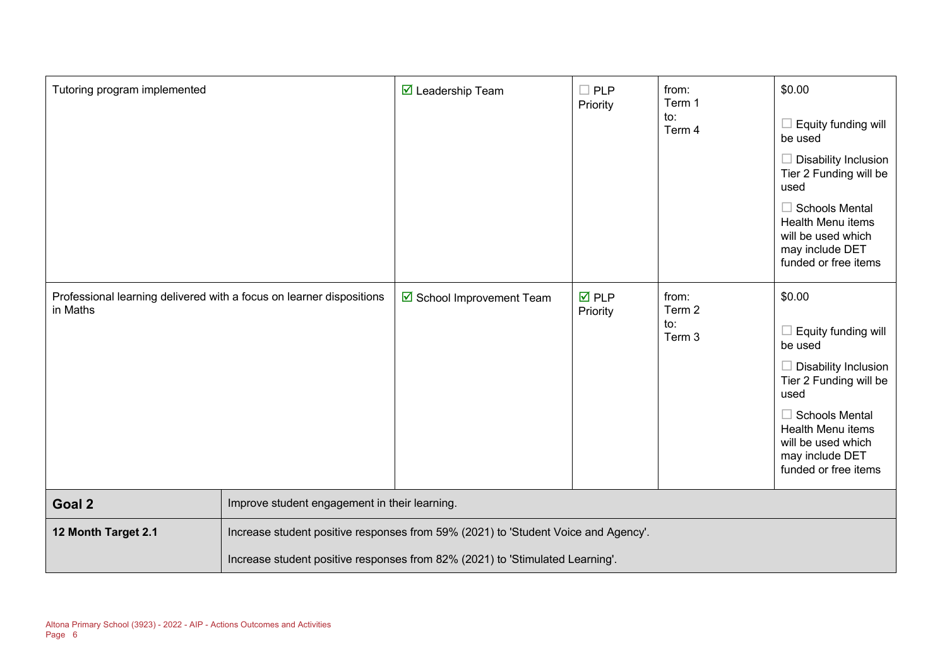| Tutoring program implemented                                                     |                                                                                    | $\triangledown$ Leadership Team | $\square$ PLP<br>Priority      | from:<br>Term 1<br>to:<br>Term 4 | \$0.00<br>Equity funding will<br>be used<br>$\Box$ Disability Inclusion<br>Tier 2 Funding will be<br>used<br>$\Box$ Schools Mental<br>Health Menu items<br>will be used which<br>may include DET<br>funded or free items        |
|----------------------------------------------------------------------------------|------------------------------------------------------------------------------------|---------------------------------|--------------------------------|----------------------------------|---------------------------------------------------------------------------------------------------------------------------------------------------------------------------------------------------------------------------------|
| Professional learning delivered with a focus on learner dispositions<br>in Maths |                                                                                    | ☑ School Improvement Team       | $\overline{M}$ PLP<br>Priority | from:<br>Term 2<br>to:<br>Term 3 | \$0.00<br>Equity funding will<br>be used<br>$\Box$ Disability Inclusion<br>Tier 2 Funding will be<br>used<br>$\Box$ Schools Mental<br><b>Health Menu items</b><br>will be used which<br>may include DET<br>funded or free items |
| Goal 2                                                                           | Improve student engagement in their learning.                                      |                                 |                                |                                  |                                                                                                                                                                                                                                 |
| 12 Month Target 2.1                                                              | Increase student positive responses from 59% (2021) to 'Student Voice and Agency'. |                                 |                                |                                  |                                                                                                                                                                                                                                 |
|                                                                                  | Increase student positive responses from 82% (2021) to 'Stimulated Learning'.      |                                 |                                |                                  |                                                                                                                                                                                                                                 |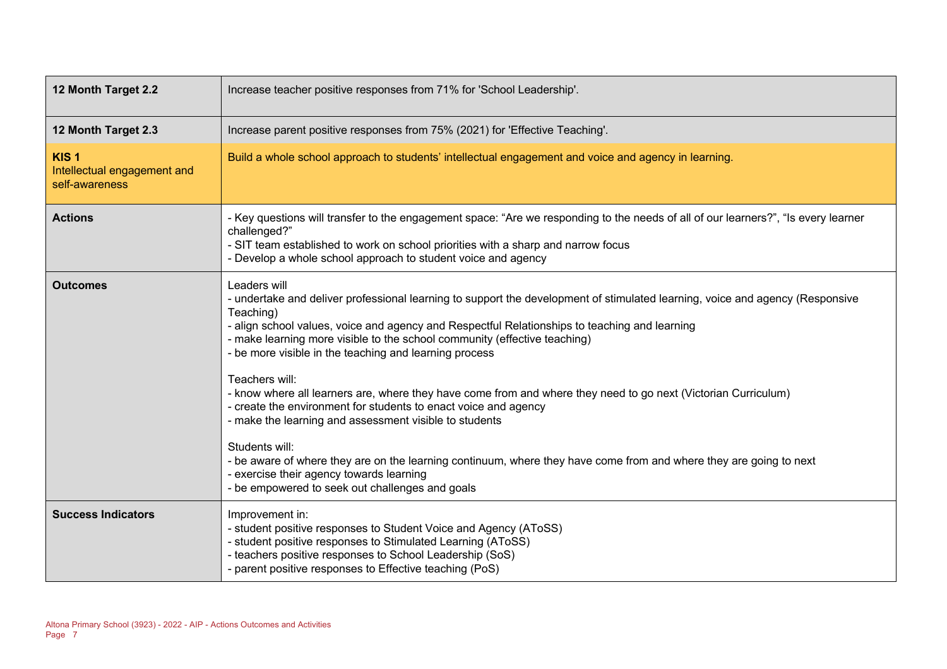| 12 Month Target 2.2                                               | Increase teacher positive responses from 71% for 'School Leadership'.                                                                                                                                                                                                                                                                                                                                                                                                                                                                                                                                                                                                                                                                                                                                                                                                                                      |  |  |  |
|-------------------------------------------------------------------|------------------------------------------------------------------------------------------------------------------------------------------------------------------------------------------------------------------------------------------------------------------------------------------------------------------------------------------------------------------------------------------------------------------------------------------------------------------------------------------------------------------------------------------------------------------------------------------------------------------------------------------------------------------------------------------------------------------------------------------------------------------------------------------------------------------------------------------------------------------------------------------------------------|--|--|--|
| 12 Month Target 2.3                                               | Increase parent positive responses from 75% (2021) for 'Effective Teaching'.                                                                                                                                                                                                                                                                                                                                                                                                                                                                                                                                                                                                                                                                                                                                                                                                                               |  |  |  |
| KIS <sub>1</sub><br>Intellectual engagement and<br>self-awareness | Build a whole school approach to students' intellectual engagement and voice and agency in learning.                                                                                                                                                                                                                                                                                                                                                                                                                                                                                                                                                                                                                                                                                                                                                                                                       |  |  |  |
| <b>Actions</b>                                                    | - Key questions will transfer to the engagement space: "Are we responding to the needs of all of our learners?", "Is every learner<br>challenged?"<br>- SIT team established to work on school priorities with a sharp and narrow focus<br>- Develop a whole school approach to student voice and agency                                                                                                                                                                                                                                                                                                                                                                                                                                                                                                                                                                                                   |  |  |  |
| <b>Outcomes</b>                                                   | Leaders will<br>- undertake and deliver professional learning to support the development of stimulated learning, voice and agency (Responsive<br>Teaching)<br>- align school values, voice and agency and Respectful Relationships to teaching and learning<br>- make learning more visible to the school community (effective teaching)<br>- be more visible in the teaching and learning process<br>Teachers will:<br>- know where all learners are, where they have come from and where they need to go next (Victorian Curriculum)<br>- create the environment for students to enact voice and agency<br>- make the learning and assessment visible to students<br>Students will:<br>- be aware of where they are on the learning continuum, where they have come from and where they are going to next<br>- exercise their agency towards learning<br>- be empowered to seek out challenges and goals |  |  |  |
| <b>Success Indicators</b>                                         | Improvement in:<br>- student positive responses to Student Voice and Agency (AToSS)<br>- student positive responses to Stimulated Learning (AToSS)<br>- teachers positive responses to School Leadership (SoS)<br>- parent positive responses to Effective teaching (PoS)                                                                                                                                                                                                                                                                                                                                                                                                                                                                                                                                                                                                                                  |  |  |  |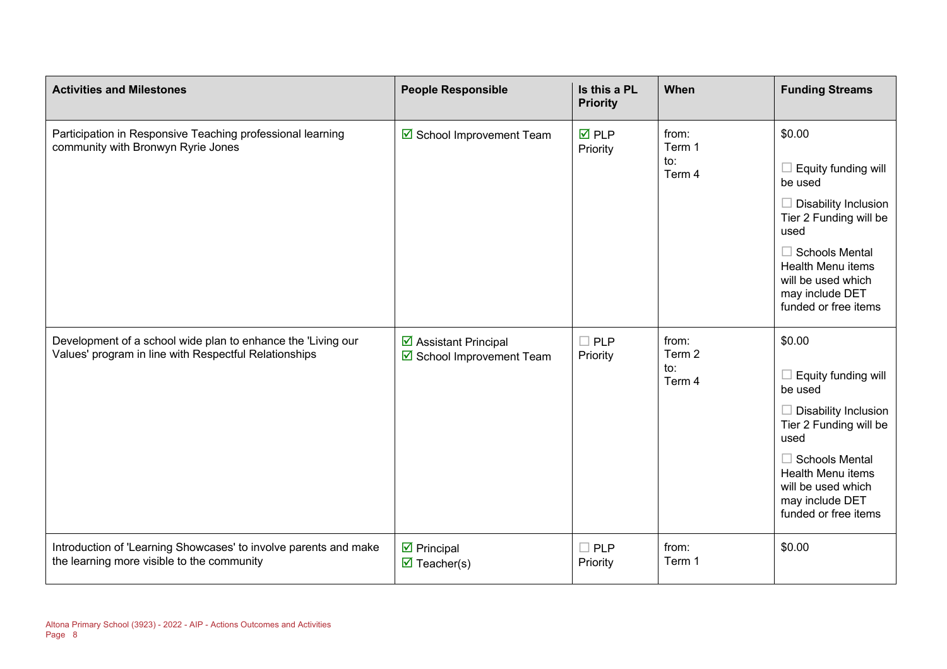| <b>Activities and Milestones</b>                                                                                      | <b>People Responsible</b>                                        | Is this a PL<br><b>Priority</b> | When                             | <b>Funding Streams</b>                                                                                             |
|-----------------------------------------------------------------------------------------------------------------------|------------------------------------------------------------------|---------------------------------|----------------------------------|--------------------------------------------------------------------------------------------------------------------|
| Participation in Responsive Teaching professional learning<br>community with Bronwyn Ryrie Jones                      | School Improvement Team                                          | $\overline{M}$ PLP<br>Priority  | from:<br>Term 1<br>to:<br>Term 4 | \$0.00<br>$\Box$ Equity funding will                                                                               |
|                                                                                                                       |                                                                  |                                 |                                  | be used<br>$\Box$ Disability Inclusion<br>Tier 2 Funding will be<br>used                                           |
|                                                                                                                       |                                                                  |                                 |                                  | $\Box$ Schools Mental<br><b>Health Menu items</b><br>will be used which<br>may include DET<br>funded or free items |
| Development of a school wide plan to enhance the 'Living our<br>Values' program in line with Respectful Relationships | $\triangleright$ Assistant Principal<br>School Improvement Team  | $\square$ PLP<br>Priority       | from:<br>Term 2<br>to:<br>Term 4 | \$0.00<br>$\Box$ Equity funding will<br>be used<br>$\Box$ Disability Inclusion<br>Tier 2 Funding will be<br>used   |
|                                                                                                                       |                                                                  |                                 |                                  | $\Box$ Schools Mental<br>Health Menu items<br>will be used which<br>may include DET<br>funded or free items        |
| Introduction of 'Learning Showcases' to involve parents and make<br>the learning more visible to the community        | $\triangleright$ Principal<br>$\overline{\mathbf{M}}$ Teacher(s) | $\square$ PLP<br>Priority       | from:<br>Term 1                  | \$0.00                                                                                                             |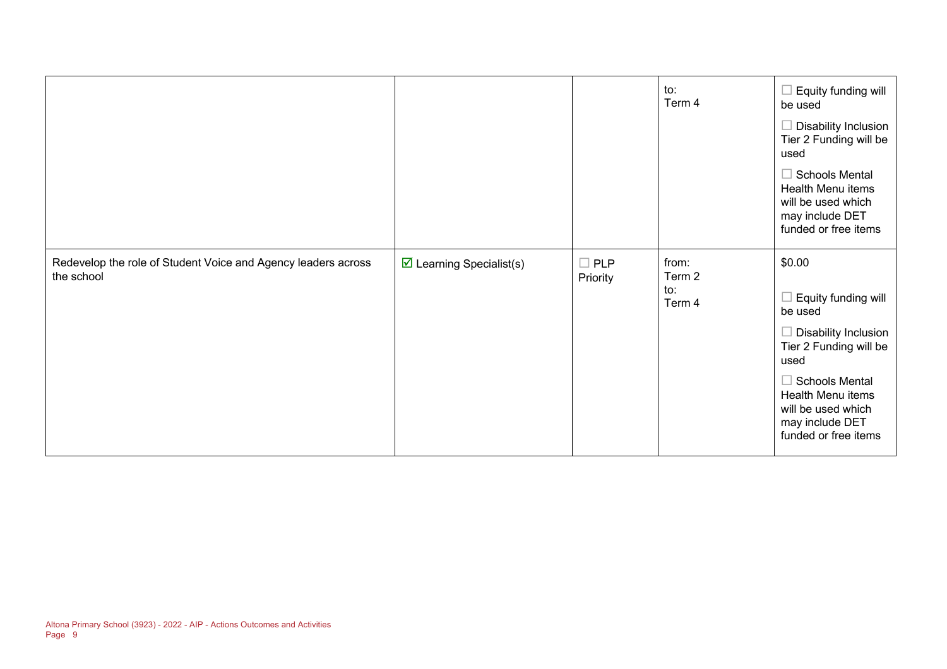|                                                                             |                                         |                        | to:<br>Term 4                    | Equity funding will<br>be used<br><b>Disability Inclusion</b><br>Tier 2 Funding will be<br>used<br><b>Schools Mental</b><br>Health Menu items<br>will be used which<br>may include DET<br>funded or free items           |
|-----------------------------------------------------------------------------|-----------------------------------------|------------------------|----------------------------------|--------------------------------------------------------------------------------------------------------------------------------------------------------------------------------------------------------------------------|
| Redevelop the role of Student Voice and Agency leaders across<br>the school | $\triangleright$ Learning Specialist(s) | $\Box$ PLP<br>Priority | from:<br>Term 2<br>to:<br>Term 4 | \$0.00<br>Equity funding will<br>be used<br><b>Disability Inclusion</b><br>Tier 2 Funding will be<br>used<br><b>Schools Mental</b><br>Health Menu items<br>will be used which<br>may include DET<br>funded or free items |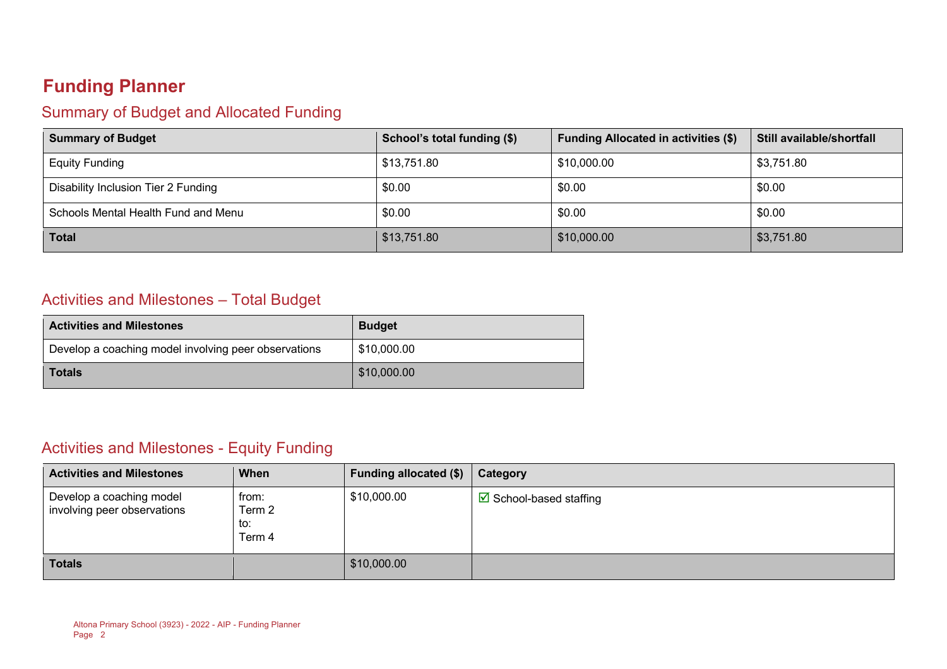# **Funding Planner**

### Summary of Budget and Allocated Funding

| <b>Summary of Budget</b>            | School's total funding (\$) | <b>Funding Allocated in activities (\$)</b> | Still available/shortfall |
|-------------------------------------|-----------------------------|---------------------------------------------|---------------------------|
| <b>Equity Funding</b>               | \$13,751.80                 | \$10,000.00                                 | \$3,751.80                |
| Disability Inclusion Tier 2 Funding | \$0.00                      | \$0.00                                      | \$0.00                    |
| Schools Mental Health Fund and Menu | \$0.00                      | \$0.00                                      | \$0.00                    |
| <b>Total</b>                        | \$13,751.80                 | \$10,000.00                                 | \$3,751.80                |

### Activities and Milestones – Total Budget

| <b>Activities and Milestones</b>                     | <b>Budget</b> |
|------------------------------------------------------|---------------|
| Develop a coaching model involving peer observations | \$10,000.00   |
| <b>Totals</b>                                        | \$10,000.00   |

### Activities and Milestones - Equity Funding

| <b>Activities and Milestones</b>                        | When                             | <b>Funding allocated (\$)</b> | Category                               |
|---------------------------------------------------------|----------------------------------|-------------------------------|----------------------------------------|
| Develop a coaching model<br>involving peer observations | from:<br>Term 2<br>to:<br>Term 4 | \$10,000.00                   | $\triangleright$ School-based staffing |
| <b>Totals</b>                                           |                                  | \$10,000.00                   |                                        |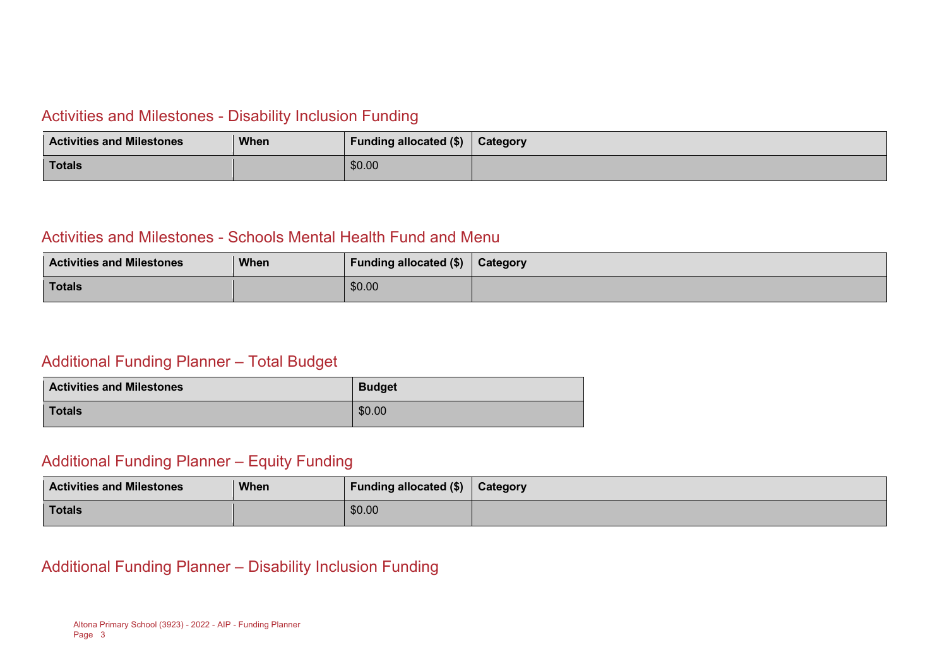#### Activities and Milestones - Disability Inclusion Funding

| <b>Activities and Milestones</b> | <b>When</b> | Funding allocated (\$) | Category |
|----------------------------------|-------------|------------------------|----------|
| Totals                           |             | \$0.00                 |          |

### Activities and Milestones - Schools Mental Health Fund and Menu

| <b>Activities and Milestones</b> | When | <b>Funding allocated (\$)</b> | <b>Category</b> |
|----------------------------------|------|-------------------------------|-----------------|
| Totals                           |      | \$0.00                        |                 |

#### Additional Funding Planner – Total Budget

| <b>Activities and Milestones</b> | <b>Budget</b> |
|----------------------------------|---------------|
| <b>Totals</b>                    | \$0.00        |

#### Additional Funding Planner – Equity Funding

| <b>Activities and Milestones</b> | <b>When</b> | <b>Funding allocated (\$)</b> | Category |
|----------------------------------|-------------|-------------------------------|----------|
| <b>Totals</b>                    |             | \$0.00                        |          |

### Additional Funding Planner – Disability Inclusion Funding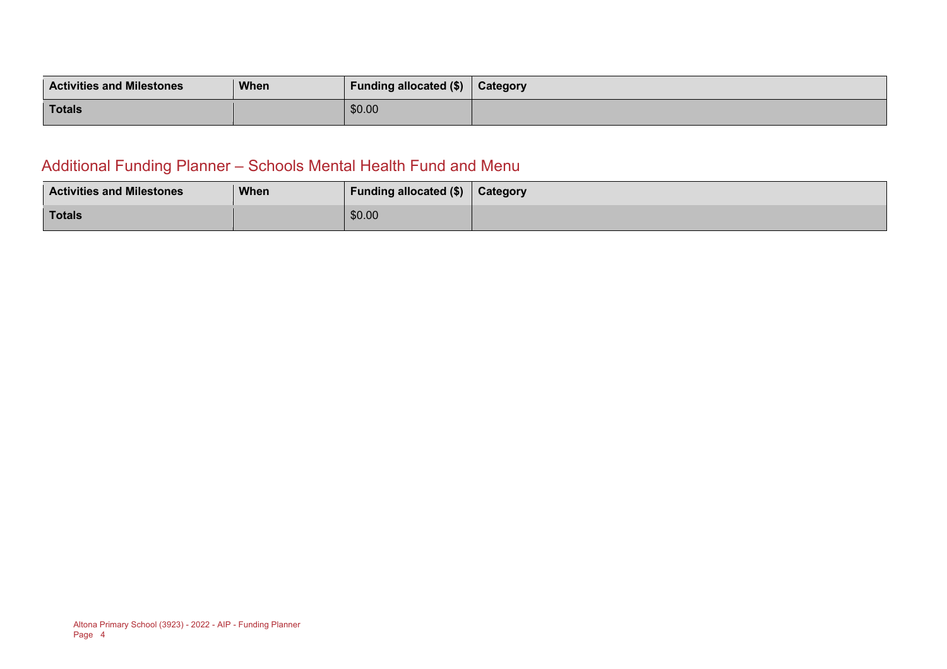| <b>Activities and Milestones</b> | <b>When</b> | <b>Funding allocated (\$)</b> | <b>Category</b> |
|----------------------------------|-------------|-------------------------------|-----------------|
| <b>Totals</b>                    |             | \$0.00                        |                 |

### Additional Funding Planner – Schools Mental Health Fund and Menu

| <b>Activities and Milestones</b> | <b>When</b> | Funding allocated $(\$)$ | Category |
|----------------------------------|-------------|--------------------------|----------|
| <b>Totals</b>                    |             | \$0.00                   |          |